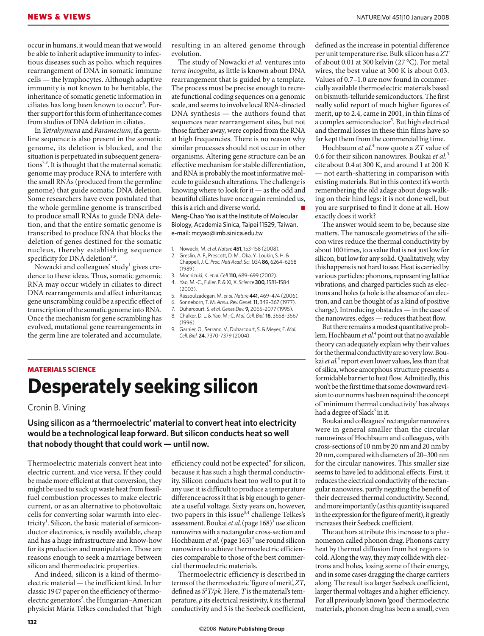occur in humans, it would mean that we would be able to inherit adaptive immunity to infectious diseases such as polio, which requires rearrangement of DNA in somatic immune cells — the lymphocytes. Although adaptive immunity is not known to be heritable, the inheritance of somatic genetic information in ciliates has long been known to occur<sup>6</sup>. Further support for this form of inheritance comes from studies of DNA deletion in ciliates.

In *Tetrahymena* and *Paramecium*, if a germline sequence is also present in the somatic genome, its deletion is blocked, and the situation is perpetuated in subsequent generations<sup>7,8</sup>. It is thought that the maternal somatic genome may produce RNA to interfere with the small RNAs (produced from the germline genome) that guide somatic DNA deletion. Some researchers have even postulated that the whole germline genome is transcribed to produce small RNAs to guide DNA deletion, and that the entire somatic genome is transcribed to produce RNA that blocks the deletion of genes destined for the somatic nucleus, thereby establishing sequence specificity for DNA deletion<sup>3,9</sup>.

Nowacki and colleagues' study $^{\rm l}$  gives credence to these ideas. Thus, somatic genomic RNA may occur widely in ciliates to direct DNA rearrangements and affect inheritance; gene unscrambling could be a specific effect of transcription of the somatic genome into RNA. Once the mechanism for gene scrambling has evolved, mutational gene rearrangements in the germ line are tolerated and accumulate,

resulting in an altered genome through evolution.

The study of Nowacki *et al.* ventures into *terra incognita*, as little is known about DNA rearrangement that is guided by a template. The process must be precise enough to recreate functional coding sequences on a genomic scale, and seems to involve local RNA-directed DNA synthesis — the authors found that sequences near rearrangement sites, but not those farther away, were copied from the RNA at high frequencies. There is no reason why similar processes should not occur in other organisms. Altering gene structure can be an effective mechanism for stable differentiation, and RNA is probably the most informative molecule to guide such alterations. The challenge is knowing where to look for it — as the odd and beautiful ciliates have once again reminded us, this is a rich and diverse world. Meng-Chao Yao is at the Institute of Molecular Biology, Academia Sinica, Taipei 11529, Taiwan. e-mail: mcyao@imb.sinica.edu.tw

1. Nowacki, M. *et al.Nature* **451,** 153–158 (2008).

- 2. Greslin, A. F., Prescott, D. M., Oka, Y., Loukin, S. H. & Chappell, J. C. *Proc. Natl Acad. Sci. USA* **86,** 6264–6268 (1989).
- 3. Mochizuki, K. *et al. Cell***110,** 689–699 (2002).
- 4. Yao, M.-C., Fuller, P. & Xi, X. *Science* **300,** 1581–1584  $(2003)$
- 5. Rassoulzadegan, M. *et al.Nature* **441,** 469–474 (2006).
- 6. Sonneborn, T. M. *Annu. Rev. Genet.***11,** 349–367 (1977).
- 7. Duharcourt, S. *et al. Genes Dev.* **9,** 2065–2077 (1995).
- 8. Chalker, D. L. & Yao, M.-C. *Mol. Cell. Biol.***16,** 3658–3667 (1996).
- 9. Garnier, O., Serrano, V., Duharcourt, S. & Meyer, E. *Mol. Cell. Biol.* **24,** 7370–7379 (2004).

## **MATERIALS SCIENCE Desperately seeking silicon**

Cronin B. Vining

**Using silicon as a 'thermoelectric' material to convert heat into electricity would be a technological leap forward. But silicon conducts heat so well that nobody thought that could work — until now.**

Thermoelectric materials convert heat into electric current, and vice versa. If they could be made more efficient at that conversion, they might be used to suck up waste heat from fossilfuel combustion processes to make electric current, or as an alternative to photovoltaic cells for converting solar warmth into electricity<sup>1</sup>. Silicon, the basic material of semiconductor electronics, is readily available, cheap and has a huge infrastructure and know-how for its production and manipulation. Those are reasons enough to seek a marriage between silicon and thermoelectric properties.

And indeed, silicon is a kind of thermoelectric material — the inefficient kind. In her classic 1947 paper on the efficiency of thermoelectric generators<sup>2</sup>, the Hungarian-American physicist Mária Telkes concluded that "high

efficiency could not be expected" for silicon, because it has such a high thermal conductivity. Silicon conducts heat too well to put it to any use: it is difficult to produce a temperature difference across it that is big enough to generate a useful voltage. Sixty years on, however, two papers in this issue $3,4$  challenge Telkes's assessment. Boukai et al. (page 168)<sup>3</sup> use silicon nanowires with a rectangular cross-section and Hochbaum et al. (page 163)<sup>4</sup> use round silicon nanowires to achieve thermoelectric efficiencies comparable to those of the best commercial thermoelectric materials.

Thermoelectric efficiency is described in terms of the thermoelectric 'figure of merit', *ZT*, defined as *S*<sup>2</sup>*T*/*ρk*. Here, *T* is the material's temperature, *ρ* its electrical resistivity, *k* its thermal conductivity and *S* is the Seebeck coefficient,

defined as the increase in potential difference per unit temperature rise. Bulk silicon has a *ZT*  of about 0.01 at 300 kelvin (27 °C). For metal wires, the best value at 300 K is about 0.03. Values of 0.7–1.0 are now found in commercially available thermoelectric materials based on bismuth-telluride semiconductors. The first really solid report of much higher figures of merit, up to 2.4, came in 2001, in thin films of a complex semiconductor<sup>5</sup>. But high electrical and thermal losses in these thin films have so far kept them from the commercial big time.

Hochbaum *et al.*<sup>4</sup> now quote a *ZT* value of 0.6 for their silicon nanowires. Boukai *et al.*<sup>3</sup> cite about 0.4 at 300 K, and around 1 at 200 K — not earth-shattering in comparison with existing materials. But in this context it's worth remembering the old adage about dogs walking on their hind legs: it is not done well, but you are surprised to find it done at all. How exactly does it work?

The answer would seem to be, because size matters. The nanoscale geometries of the silicon wires reduce the thermal conductivity by about 100 times, to a value that is not just low for silicon, but low for any solid. Qualitatively, why this happens is not hard to see. Heat is carried by various particles: phonons, representing lattice vibrations, and charged particles such as electrons and holes (a hole is the absence of an electron, and can be thought of as a kind of positive charge). Introducing obstacles — in the case of the nanowires, edges — reduces that heat flow.

But there remains a modest quantitative problem. Hochbaum *et al.*<sup>4</sup> point out that no available theory can adequately explain why their values for the thermal conductivity are so very low. Boukai et al.<sup>3</sup> report even lower values, less than that of silica, whose amorphous structure presents a formidable barrier to heat flow.Admittedly, this won't be the first time that some downward revision to our norms has been required: the concept of 'minimum thermal conductivity' has always had a degree of Slack<sup>6</sup> in it.

Boukai and colleagues' rectangular nanowires were in general smaller than the circular nanowires of Hochbaum and colleagues, with cross-sections of 10 nm by 20 nm and 20 nm by 20 nm, compared with diameters of 20–300 nm for the circular nanowires. This smaller size seems to have led to additional effects. First, it reduces the electrical conductivity of the rectangular nanowires, partly negating the benefit of their decreased thermal conductivity. Second, and more importantly (as this quantity is squared in the expression for the figure of merit), it greatly increases their Seebeck coefficient.

The authors attribute this increase to a phenomenon called phonon drag. Phonons carry heat by thermal diffusion from hot regions to cold. Along the way, they may collide with electrons and holes, losing some of their energy, and in some cases dragging the charge carriers along. The result is a larger Seebeck coefficient, larger thermal voltages and a higher efficiency. For all previously known 'good' thermoelectric materials, phonon drag has been a small, even